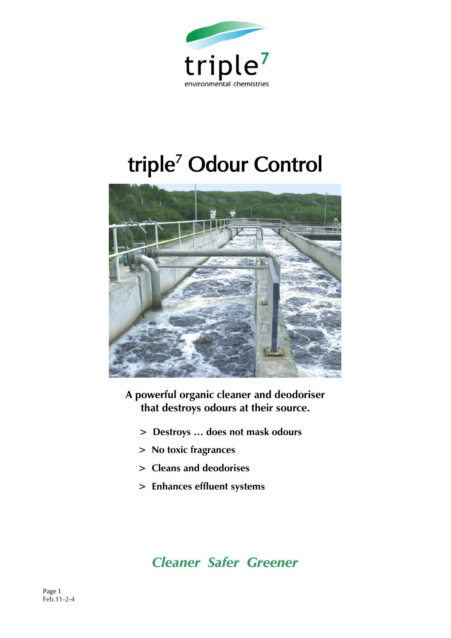

# triple<sup>7</sup> Odour Control



## **A powerful organic cleaner and deodoriser that destroys odours at their source.**

- **> Destroys … does not mask odours**
- **> No toxic fragrances**
- **> Cleans and deodorises**
- **> Enhances effluent systems**

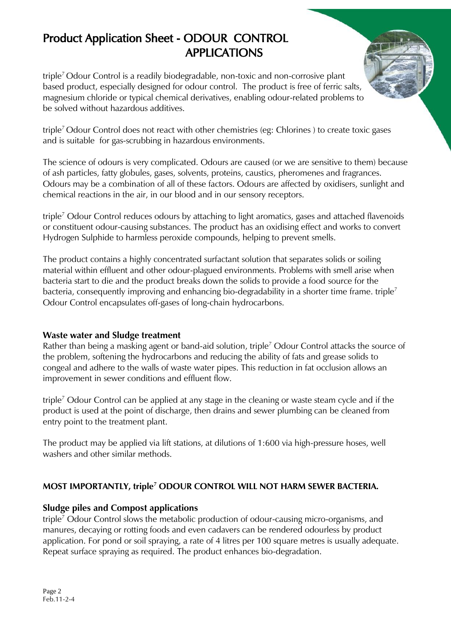triple<sup>7</sup>Odour Control is a readily biodegradable, non-toxic and non-corrosive plant based product, especially designed for odour control. The product is free of ferric salts, magnesium chloride or typical chemical derivatives, enabling odour-related problems to be solved without hazardous additives.

triple<sup>7</sup>Odour Control does not react with other chemistries (eg: Chlorines ) to create toxic gases and is suitable for gas-scrubbing in hazardous environments.

The science of odours is very complicated. Odours are caused (or we are sensitive to them) because of ash particles, fatty globules, gases, solvents, proteins, caustics, pheromenes and fragrances. Odours may be a combination of all of these factors. Odours are affected by oxidisers, sunlight and chemical reactions in the air, in our blood and in our sensory receptors.

triple<sup>7</sup> Odour Control reduces odours by attaching to light aromatics, gases and attached flavenoids or constituent odour-causing substances. The product has an oxidising effect and works to convert Hydrogen Sulphide to harmless peroxide compounds, helping to prevent smells.

The product contains a highly concentrated surfactant solution that separates solids or soiling material within effluent and other odour-plagued environments. Problems with smell arise when bacteria start to die and the product breaks down the solids to provide a food source for the bacteria, consequently improving and enhancing bio-degradability in a shorter time frame. triple<sup>7</sup> Odour Control encapsulates off-gases of long-chain hydrocarbons.

#### **Waste water and Sludge treatment**

Rather than being a masking agent or band-aid solution, triple<sup>7</sup> Odour Control attacks the source of the problem, softening the hydrocarbons and reducing the ability of fats and grease solids to congeal and adhere to the walls of waste water pipes. This reduction in fat occlusion allows an improvement in sewer conditions and effluent flow.

triple<sup>7</sup> Odour Control can be applied at any stage in the cleaning or waste steam cycle and if the product is used at the point of discharge, then drains and sewer plumbing can be cleaned from entry point to the treatment plant.

The product may be applied via lift stations, at dilutions of 1:600 via high-pressure hoses, well washers and other similar methods.

#### **MOST IMPORTANTLY, triple<sup>7</sup> ODOUR CONTROL WILL NOT HARM SEWER BACTERIA.**

#### **Sludge piles and Compost applications**

triple<sup>7</sup> Odour Control slows the metabolic production of odour-causing micro-organisms, and manures, decaying or rotting foods and even cadavers can be rendered odourless by product application. For pond or soil spraying, a rate of 4 litres per 100 square metres is usually adequate. Repeat surface spraying as required. The product enhances bio-degradation.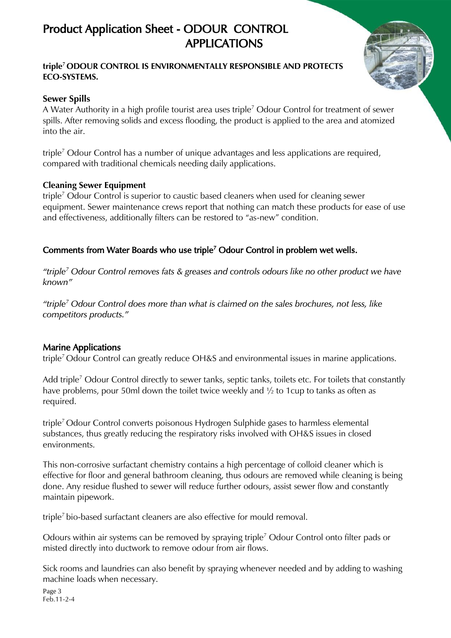#### **triple<sup>7</sup> ODOUR CONTROL IS ENVIRONMENTALLY RESPONSIBLE AND PROTECTS ECO-SYSTEMS.**

#### **Sewer Spills**

A Water Authority in a high profile tourist area uses triple<sup>7</sup> Odour Control for treatment of sewer spills. After removing solids and excess flooding, the product is applied to the area and atomized into the air.

triple<sup>7</sup> Odour Control has a number of unique advantages and less applications are required, compared with traditional chemicals needing daily applications.

#### **Cleaning Sewer Equipment**

triple<sup>7</sup> Odour Control is superior to caustic based cleaners when used for cleaning sewer equipment. Sewer maintenance crews report that nothing can match these products for ease of use and effectiveness, additionally filters can be restored to "as-new" condition.

#### Comments from Water Boards who use triple<sup>7</sup> Odour Control in problem wet wells.

*"triple<sup>7</sup> Odour Control removes fats & greases and controls odours like no other product we have known"*

*"triple<sup>7</sup> Odour Control does more than what is claimed on the sales brochures, not less, like competitors products."*

#### Marine Applications

triple<sup>7</sup> Odour Control can greatly reduce OH&S and environmental issues in marine applications.

Add triple<sup>7</sup> Odour Control directly to sewer tanks, septic tanks, toilets etc. For toilets that constantly have problems, pour 50ml down the toilet twice weekly and  $\frac{1}{2}$  to 1 cup to tanks as often as required.

triple<sup>7</sup>Odour Control converts poisonous Hydrogen Sulphide gases to harmless elemental substances, thus greatly reducing the respiratory risks involved with OH&S issues in closed environments.

This non-corrosive surfactant chemistry contains a high percentage of colloid cleaner which is effective for floor and general bathroom cleaning, thus odours are removed while cleaning is being done. Any residue flushed to sewer will reduce further odours, assist sewer flow and constantly maintain pipework.

triple<sup>7</sup>bio-based surfactant cleaners are also effective for mould removal.

Odours within air systems can be removed by spraying triple<sup>7</sup> Odour Control onto filter pads or misted directly into ductwork to remove odour from air flows.

Sick rooms and laundries can also benefit by spraying whenever needed and by adding to washing machine loads when necessary.

Page 3 Feb.11-2-4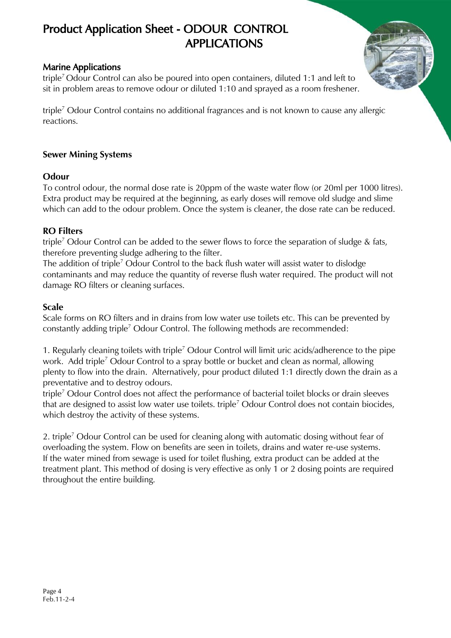

#### Marine Applications

triple<sup>7</sup>Odour Control can also be poured into open containers, diluted 1:1 and left to sit in problem areas to remove odour or diluted 1:10 and sprayed as a room freshener.

triple<sup>7</sup> Odour Control contains no additional fragrances and is not known to cause any allergic reactions.

#### **Sewer Mining Systems**

#### **Odour**

To control odour, the normal dose rate is 20ppm of the waste water flow (or 20ml per 1000 litres). Extra product may be required at the beginning, as early doses will remove old sludge and slime which can add to the odour problem. Once the system is cleaner, the dose rate can be reduced.

#### **RO Filters**

triple<sup>7</sup> Odour Control can be added to the sewer flows to force the separation of sludge & fats, therefore preventing sludge adhering to the filter.

The addition of triple<sup>7</sup> Odour Control to the back flush water will assist water to dislodge contaminants and may reduce the quantity of reverse flush water required. The product will not damage RO filters or cleaning surfaces.

#### **Scale**

Scale forms on RO filters and in drains from low water use toilets etc. This can be prevented by constantly adding triple<sup>7</sup> Odour Control. The following methods are recommended:

1. Regularly cleaning toilets with triple<sup>7</sup> Odour Control will limit uric acids/adherence to the pipe work. Add triple<sup>7</sup> Odour Control to a spray bottle or bucket and clean as normal, allowing plenty to flow into the drain. Alternatively, pour product diluted 1:1 directly down the drain as a preventative and to destroy odours.

triple<sup>7</sup> Odour Control does not affect the performance of bacterial toilet blocks or drain sleeves that are designed to assist low water use toilets. triple<sup>7</sup> Odour Control does not contain biocides, which destroy the activity of these systems.

2. triple<sup>7</sup> Odour Control can be used for cleaning along with automatic dosing without fear of overloading the system. Flow on benefits are seen in toilets, drains and water re-use systems. If the water mined from sewage is used for toilet flushing, extra product can be added at the treatment plant. This method of dosing is very effective as only 1 or 2 dosing points are required throughout the entire building.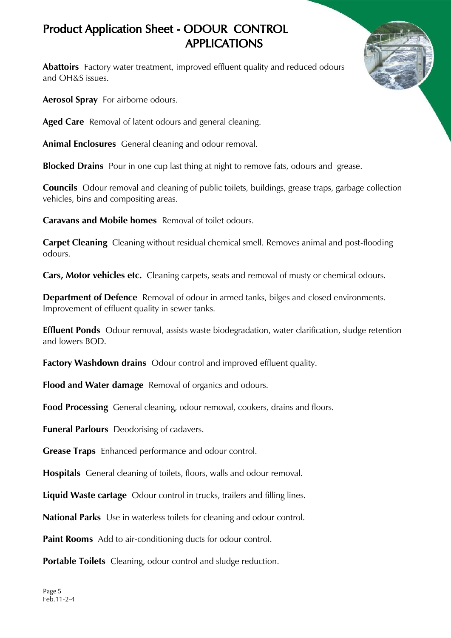**Abattoirs** Factory water treatment, improved effluent quality and reduced odours and OH&S issues.

**Aerosol Spray** For airborne odours.

**Aged Care** Removal of latent odours and general cleaning.

**Animal Enclosures** General cleaning and odour removal.

**Blocked Drains** Pour in one cup last thing at night to remove fats, odours and grease.

**Councils** Odour removal and cleaning of public toilets, buildings, grease traps, garbage collection vehicles, bins and compositing areas.

**Caravans and Mobile homes** Removal of toilet odours.

**Carpet Cleaning** Cleaning without residual chemical smell. Removes animal and post-flooding odours.

**Cars, Motor vehicles etc.** Cleaning carpets, seats and removal of musty or chemical odours.

**Department of Defence** Removal of odour in armed tanks, bilges and closed environments. Improvement of effluent quality in sewer tanks.

**Effluent Ponds** Odour removal, assists waste biodegradation, water clarification, sludge retention and lowers BOD.

**Factory Washdown drains** Odour control and improved effluent quality.

**Flood and Water damage** Removal of organics and odours.

**Food Processing** General cleaning, odour removal, cookers, drains and floors.

**Funeral Parlours** Deodorising of cadavers.

**Grease Traps** Enhanced performance and odour control.

**Hospitals** General cleaning of toilets, floors, walls and odour removal.

**Liquid Waste cartage** Odour control in trucks, trailers and filling lines.

**National Parks** Use in waterless toilets for cleaning and odour control.

**Paint Rooms** Add to air-conditioning ducts for odour control.

**Portable Toilets** Cleaning, odour control and sludge reduction.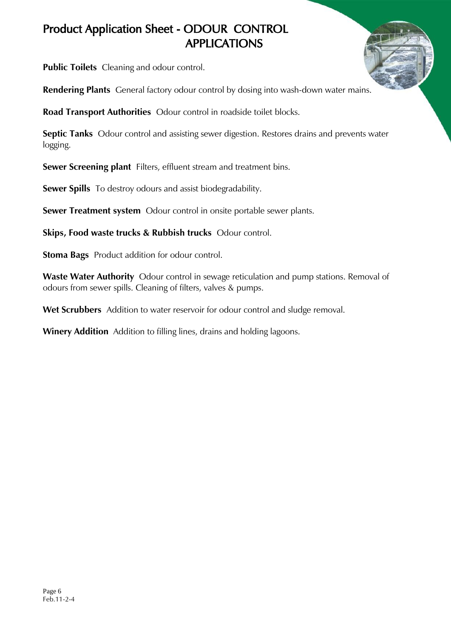**Public Toilets** Cleaning and odour control.

**Rendering Plants** General factory odour control by dosing into wash-down water mains.

**Road Transport Authorities** Odour control in roadside toilet blocks.

**Septic Tanks** Odour control and assisting sewer digestion. Restores drains and prevents water logging.

**Sewer Screening plant** Filters, effluent stream and treatment bins.

**Sewer Spills** To destroy odours and assist biodegradability.

**Sewer Treatment system** Odour control in onsite portable sewer plants.

**Skips, Food waste trucks & Rubbish trucks** Odour control.

**Stoma Bags** Product addition for odour control.

**Waste Water Authority** Odour control in sewage reticulation and pump stations. Removal of odours from sewer spills. Cleaning of filters, valves & pumps.

**Wet Scrubbers** Addition to water reservoir for odour control and sludge removal.

**Winery Addition** Addition to filling lines, drains and holding lagoons.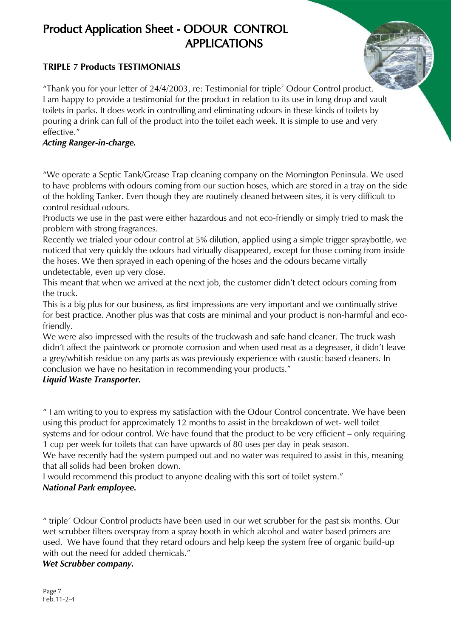#### **TRIPLE 7 Products TESTIMONIALS**



"Thank you for your letter of  $24/4/2003$ , re: Testimonial for triple<sup>7</sup> Odour Control product. I am happy to provide a testimonial for the product in relation to its use in long drop and vault toilets in parks. It does work in controlling and eliminating odours in these kinds of toilets by pouring a drink can full of the product into the toilet each week. It is simple to use and very effective."

#### *Acting Ranger-in-charge.*

"We operate a Septic Tank/Grease Trap cleaning company on the Mornington Peninsula. We used to have problems with odours coming from our suction hoses, which are stored in a tray on the side of the holding Tanker. Even though they are routinely cleaned between sites, it is very difficult to control residual odours.

Products we use in the past were either hazardous and not eco-friendly or simply tried to mask the problem with strong fragrances.

Recently we trialed your odour control at 5% dilution, applied using a simple trigger spraybottle, we noticed that very quickly the odours had virtually disappeared, except for those coming from inside the hoses. We then sprayed in each opening of the hoses and the odours became virtally undetectable, even up very close.

This meant that when we arrived at the next job, the customer didn't detect odours coming from the truck.

This is a big plus for our business, as first impressions are very important and we continually strive for best practice. Another plus was that costs are minimal and your product is non-harmful and ecofriendly.

We were also impressed with the results of the truckwash and safe hand cleaner. The truck wash didn't affect the paintwork or promote corrosion and when used neat as a degreaser, it didn't leave a grey/whitish residue on any parts as was previously experience with caustic based cleaners. In conclusion we have no hesitation in recommending your products."

#### *Liquid Waste Transporter.*

" I am writing to you to express my satisfaction with the Odour Control concentrate. We have been using this product for approximately 12 months to assist in the breakdown of wet- well toilet

systems and for odour control. We have found that the product to be very efficient – only requiring 1 cup per week for toilets that can have upwards of 80 uses per day in peak season.

We have recently had the system pumped out and no water was required to assist in this, meaning that all solids had been broken down.

I would recommend this product to anyone dealing with this sort of toilet system." *National Park employee.*

" triple<sup>7</sup> Odour Control products have been used in our wet scrubber for the past six months. Our wet scrubber filters overspray from a spray booth in which alcohol and water based primers are used. We have found that they retard odours and help keep the system free of organic build-up with out the need for added chemicals."

#### *Wet Scrubber company.*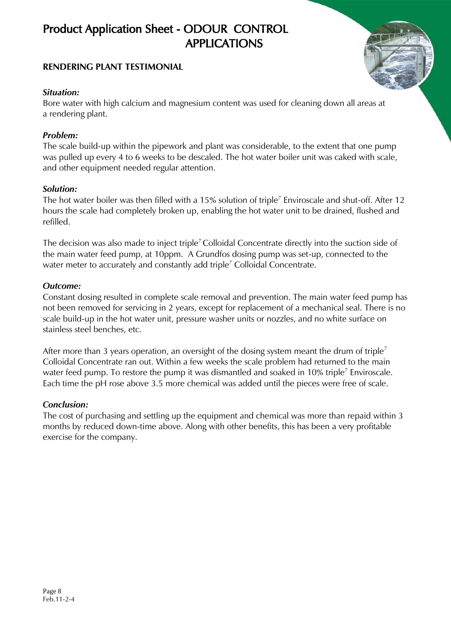#### **RENDERING PLANT TESTIMONIAL**

#### *Situation:*

Bore water with high calcium and magnesium content was used for cleaning down all areas at a rendering plant.

#### *Problem:*

The scale build-up within the pipework and plant was considerable, to the extent that one pump was pulled up every 4 to 6 weeks to be descaled. The hot water boiler unit was caked with scale, and other equipment needed regular attention.

#### *Solution:*

The hot water boiler was then filled with a 15% solution of triple<sup>7</sup> Enviroscale and shut-off. After 12 hours the scale had completely broken up, enabling the hot water unit to be drained, flushed and refilled.

The decision was also made to inject triple<sup>7</sup> Colloidal Concentrate directly into the suction side of the main water feed pump, at 10ppm. A Grundfos dosing pump was set-up, connected to the water meter to accurately and constantly add triple<sup>7</sup> Colloidal Concentrate.

#### *Outcome:*

Constant dosing resulted in complete scale removal and prevention. The main water feed pump has not been removed for servicing in 2 years, except for replacement of a mechanical seal. There is no scale build-up in the hot water unit, pressure washer units or nozzles, and no white surface on stainless steel benches, etc.

After more than 3 years operation, an oversight of the dosing system meant the drum of triple<sup>7</sup> Colloidal Concentrate ran out. Within a few weeks the scale problem had returned to the main water feed pump. To restore the pump it was dismantled and soaked in 10% triple<sup>7</sup> Enviroscale. Each time the pH rose above 3.5 more chemical was added until the pieces were free of scale.

#### *Conclusion:*

The cost of purchasing and settling up the equipment and chemical was more than repaid within 3 months by reduced down-time above. Along with other benefits, this has been a very profitable exercise for the company.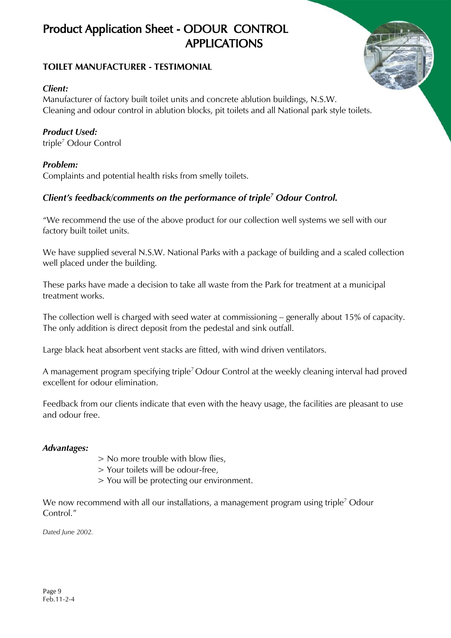#### **TOILET MANUFACTURER - TESTIMONIAL**

#### *Client:*

Manufacturer of factory built toilet units and concrete ablution buildings, N.S.W. Cleaning and odour control in ablution blocks, pit toilets and all National park style toilets.

#### *Product Used:*

triple<sup>7</sup> Odour Control

#### *Problem:*

Complaints and potential health risks from smelly toilets.

#### *Client's feedback/comments on the performance of triple<sup>7</sup> Odour Control.*

"We recommend the use of the above product for our collection well systems we sell with our factory built toilet units.

We have supplied several N.S.W. National Parks with a package of building and a scaled collection well placed under the building.

These parks have made a decision to take all waste from the Park for treatment at a municipal treatment works.

The collection well is charged with seed water at commissioning – generally about 15% of capacity. The only addition is direct deposit from the pedestal and sink outfall.

Large black heat absorbent vent stacks are fitted, with wind driven ventilators.

A management program specifying triple<sup>7</sup> Odour Control at the weekly cleaning interval had proved excellent for odour elimination.

Feedback from our clients indicate that even with the heavy usage, the facilities are pleasant to use and odour free.

#### *Advantages:*

- > No more trouble with blow flies,
- > Your toilets will be odour-free,
- > You will be protecting our environment.

We now recommend with all our installations, a management program using triple<sup>7</sup> Odour Control."

*Dated June 2002.*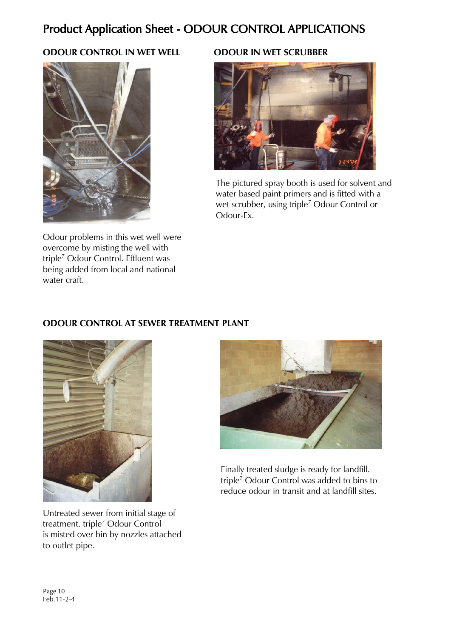### **ODOUR CONTROL IN WET WELL ODOUR IN WET SCRUBBER**



Odour problems in this wet well were overcome by misting the well with triple<sup>7</sup> Odour Control. Effluent was being added from local and national water craft.



 The pictured spray booth is used for solvent and water based paint primers and is fitted with a wet scrubber, using triple<sup>7</sup> Odour Control or Odour-Ex.

#### **ODOUR CONTROL AT SEWER TREATMENT PLANT**



 Finally treated sludge is ready for landfill. triple<sup>7</sup> Odour Control was added to bins to reduce odour in transit and at landfill sites.

Untreated sewer from initial stage of treatment. triple<sup>7</sup> Odour Control is misted over bin by nozzles attached to outlet pipe.